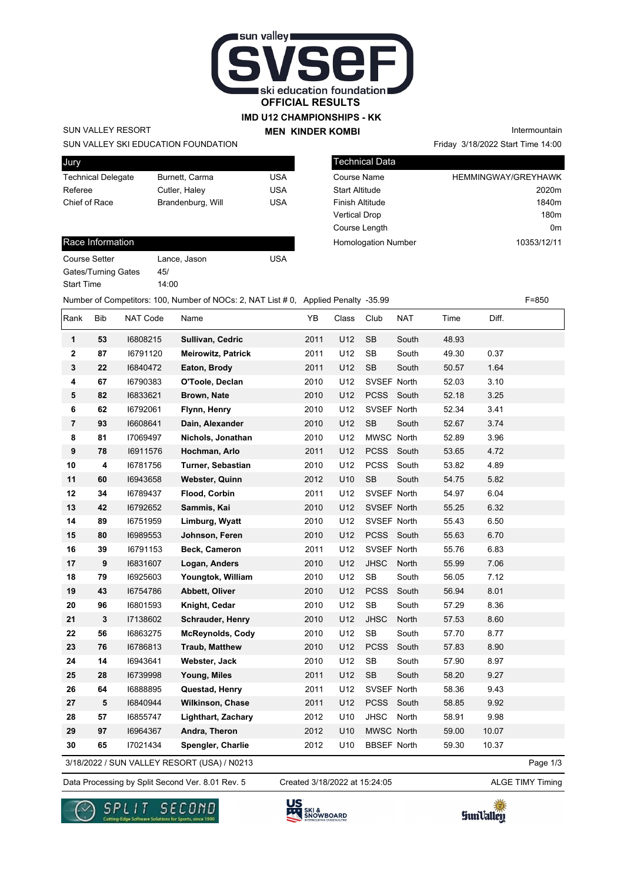

## **IMD U12 CHAMPIONSHIPS - KK**

SUN VALLEY RESORT

Jury

SUN VALLEY SKI EDUCATION FOUNDATION

| <b>PULLY</b>              |                   |     |
|---------------------------|-------------------|-----|
| <b>Technical Delegate</b> | Burnett, Carma    | USA |
| Referee                   | Cutler, Haley     | USA |
| Chief of Race             | Brandenburg, Will | USA |
|                           |                   |     |

| Race Information |  |
|------------------|--|
|                  |  |
|                  |  |

| Course Setter              |
|----------------------------|
| <b>Gates/Turning Gates</b> |
| <b>Start Time</b>          |

Lance, Jason USA  $45/$ 14:00

**MEN KINDER KOMBI**

Friday 3/18/2022 Start Time 14:00 Intermountain

| <b>Technical Data</b>      |                            |
|----------------------------|----------------------------|
| Course Name                | <b>HEMMINGWAY/GREYHAWK</b> |
| <b>Start Altitude</b>      | 2020m                      |
| Finish Altitude            | 1840m                      |
| <b>Vertical Drop</b>       | 180 <sub>m</sub>           |
| Course Length              | 0m                         |
| <b>Homologation Number</b> | 10353/12/11                |

Number of Competitors: 100, Number of NOCs: 2, NAT List # 0, Applied Penalty -35.99 F=850

| Rank           | Bib | <b>NAT Code</b> | Name                                        | YB   | Class | Club               | <b>NAT</b> | Time  | Diff. |          |
|----------------|-----|-----------------|---------------------------------------------|------|-------|--------------------|------------|-------|-------|----------|
| 1              | 53  | 16808215        | Sullivan, Cedric                            | 2011 | U12   | <b>SB</b>          | South      | 48.93 |       |          |
| $\mathbf 2$    | 87  | 16791120        | <b>Meirowitz, Patrick</b>                   | 2011 | U12   | <b>SB</b>          | South      | 49.30 | 0.37  |          |
| 3              | 22  | 16840472        | Eaton, Brody                                | 2011 | U12   | <b>SB</b>          | South      | 50.57 | 1.64  |          |
| 4              | 67  | 16790383        | O'Toole, Declan                             | 2010 | U12   | SVSEF North        |            | 52.03 | 3.10  |          |
| 5              | 82  | 16833621        | Brown, Nate                                 | 2010 | U12   | PCSS South         |            | 52.18 | 3.25  |          |
| 6              | 62  | 16792061        | Flynn, Henry                                | 2010 | U12   | SVSEF North        |            | 52.34 | 3.41  |          |
| $\overline{7}$ | 93  | 16608641        | Dain, Alexander                             | 2010 | U12   | <b>SB</b>          | South      | 52.67 | 3.74  |          |
| 8              | 81  | 17069497        | Nichols, Jonathan                           | 2010 | U12   | MWSC North         |            | 52.89 | 3.96  |          |
| 9              | 78  | 16911576        | Hochman, Arlo                               | 2011 | U12   | PCSS South         |            | 53.65 | 4.72  |          |
| 10             | 4   | 16781756        | Turner, Sebastian                           | 2010 | U12   | <b>PCSS</b>        | South      | 53.82 | 4.89  |          |
| 11             | 60  | 16943658        | <b>Webster, Quinn</b>                       | 2012 | U10   | <b>SB</b>          | South      | 54.75 | 5.82  |          |
| 12             | 34  | 16789437        | Flood, Corbin                               | 2011 | U12   | SVSEF North        |            | 54.97 | 6.04  |          |
| 13             | 42  | 16792652        | Sammis, Kai                                 | 2010 | U12   | SVSEF North        |            | 55.25 | 6.32  |          |
| 14             | 89  | 16751959        | Limburg, Wyatt                              | 2010 | U12   | SVSEF North        |            | 55.43 | 6.50  |          |
| 15             | 80  | 16989553        | Johnson, Feren                              | 2010 | U12   | PCSS South         |            | 55.63 | 6.70  |          |
| 16             | 39  | 16791153        | Beck, Cameron                               | 2011 | U12   | SVSEF North        |            | 55.76 | 6.83  |          |
| 17             | 9   | 16831607        | Logan, Anders                               | 2010 | U12   | <b>JHSC</b>        | North      | 55.99 | 7.06  |          |
| 18             | 79  | 16925603        | Youngtok, William                           | 2010 | U12   | <b>SB</b>          | South      | 56.05 | 7.12  |          |
| 19             | 43  | 16754786        | Abbett, Oliver                              | 2010 | U12   | <b>PCSS</b>        | South      | 56.94 | 8.01  |          |
| 20             | 96  | 16801593        | Knight, Cedar                               | 2010 | U12   | ${\sf SB}$         | South      | 57.29 | 8.36  |          |
| 21             | 3   | 17138602        | Schrauder, Henry                            | 2010 | U12   | <b>JHSC</b>        | North      | 57.53 | 8.60  |          |
| 22             | 56  | 16863275        | <b>McReynolds, Cody</b>                     | 2010 | U12   | SB                 | South      | 57.70 | 8.77  |          |
| 23             | 76  | 16786813        | <b>Traub, Matthew</b>                       | 2010 | U12   | <b>PCSS</b>        | South      | 57.83 | 8.90  |          |
| 24             | 14  | 16943641        | Webster, Jack                               | 2010 | U12   | SB                 | South      | 57.90 | 8.97  |          |
| 25             | 28  | 16739998        | Young, Miles                                | 2011 | U12   | <b>SB</b>          | South      | 58.20 | 9.27  |          |
| 26             | 64  | 16888895        | Questad, Henry                              | 2011 | U12   | SVSEF North        |            | 58.36 | 9.43  |          |
| 27             | 5   | 16840944        | Wilkinson, Chase                            | 2011 | U12   | PCSS South         |            | 58.85 | 9.92  |          |
| 28             | 57  | 16855747        | <b>Lighthart, Zachary</b>                   | 2012 | U10   | <b>JHSC</b>        | North      | 58.91 | 9.98  |          |
| 29             | 97  | 16964367        | Andra, Theron                               | 2012 | U10   | MWSC North         |            | 59.00 | 10.07 |          |
| 30             | 65  | 17021434        | Spengler, Charlie                           | 2012 | U10   | <b>BBSEF North</b> |            | 59.30 | 10.37 |          |
|                |     |                 | 3/18/2022 / SUN VALLEY RESORT (USA) / N0213 |      |       |                    |            |       |       | Page 1/3 |

Data Processing by Split Second Ver. 8.01 Rev. 5 Created 3/18/2022 at 15:24:05 ALGE TIMY Timing

Created 3/18/2022 at 15:24:05





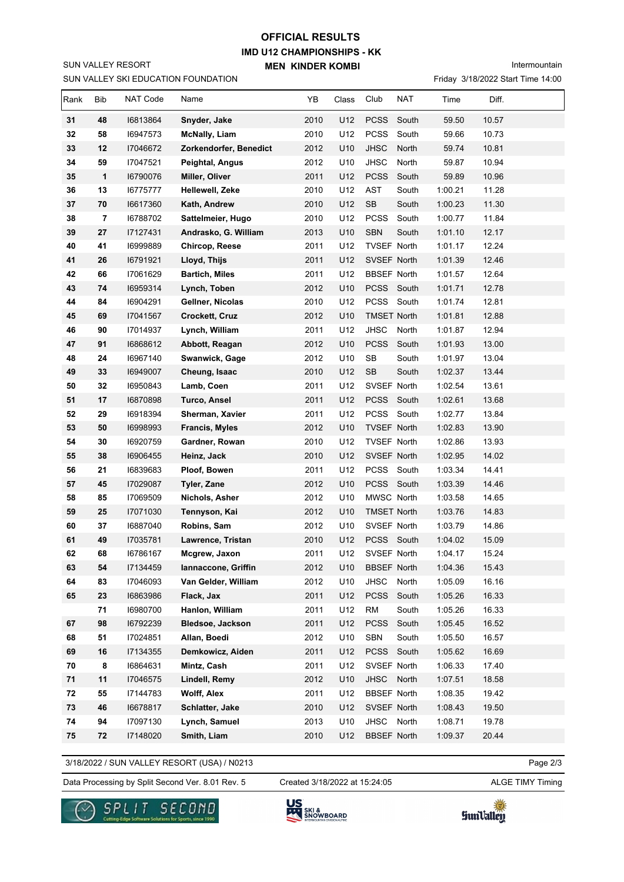## **IMD U12 CHAMPIONSHIPS - KK MEN KINDER KOMBI OFFICIAL RESULTS**

Intermountain

|      |                         |                 | SUN VALLEY SKI EDUCATION FOUNDATION |      |       |                    |            |         | Friday 3/18/2022 Start Time 14:00 |  |
|------|-------------------------|-----------------|-------------------------------------|------|-------|--------------------|------------|---------|-----------------------------------|--|
| Rank | Bib                     | <b>NAT Code</b> | Name                                | YB   | Class | Club               | <b>NAT</b> | Time    | Diff.                             |  |
| 31   | 48                      | 16813864        | Snyder, Jake                        | 2010 | U12   | <b>PCSS</b>        | South      | 59.50   | 10.57                             |  |
| 32   | 58                      | 16947573        | <b>McNally, Liam</b>                | 2010 | U12   | <b>PCSS</b>        | South      | 59.66   | 10.73                             |  |
| 33   | 12                      | 17046672        | Zorkendorfer, Benedict              | 2012 | U10   | <b>JHSC</b>        | North      | 59.74   | 10.81                             |  |
| 34   | 59                      | 17047521        | Peightal, Angus                     | 2012 | U10   | <b>JHSC</b>        | North      | 59.87   | 10.94                             |  |
| 35   | $\mathbf{1}$            | 16790076        | Miller, Oliver                      | 2011 | U12   | <b>PCSS</b>        | South      | 59.89   | 10.96                             |  |
| 36   | 13                      | 16775777        | Hellewell, Zeke                     | 2010 | U12   | AST                | South      | 1:00.21 | 11.28                             |  |
| 37   | 70                      | 16617360        | Kath, Andrew                        | 2010 | U12   | SB                 | South      | 1:00.23 | 11.30                             |  |
| 38   | $\overline{\mathbf{r}}$ | 16788702        | Sattelmeier, Hugo                   | 2010 | U12   | <b>PCSS</b>        | South      | 1:00.77 | 11.84                             |  |
| 39   | 27                      | 17127431        | Andrasko, G. William                | 2013 | U10   | <b>SBN</b>         | South      | 1:01.10 | 12.17                             |  |
| 40   | 41                      | 16999889        | Chircop, Reese                      | 2011 | U12   | TVSEF North        |            | 1:01.17 | 12.24                             |  |
| 41   | 26                      | 16791921        | Lloyd, Thijs                        | 2011 | U12   | SVSEF North        |            | 1:01.39 | 12.46                             |  |
| 42   | 66                      | 17061629        | <b>Bartich, Miles</b>               | 2011 | U12   | <b>BBSEF North</b> |            | 1:01.57 | 12.64                             |  |
| 43   | 74                      | 16959314        | Lynch, Toben                        | 2012 | U10   |                    | PCSS South | 1:01.71 | 12.78                             |  |
| 44   | 84                      | 16904291        | Gellner, Nicolas                    | 2010 | U12   | <b>PCSS</b>        | South      | 1:01.74 | 12.81                             |  |
| 45   | 69                      | 17041567        | Crockett, Cruz                      | 2012 | U10   | <b>TMSET North</b> |            | 1:01.81 | 12.88                             |  |
| 46   | 90                      | 17014937        | Lynch, William                      | 2011 | U12   | <b>JHSC</b>        | North      | 1:01.87 | 12.94                             |  |
| 47   | 91                      | 16868612        | Abbott, Reagan                      | 2012 | U10   | <b>PCSS</b>        | South      | 1:01.93 | 13.00                             |  |
| 48   | 24                      | 16967140        | Swanwick, Gage                      | 2012 | U10   | SB                 | South      | 1:01.97 | 13.04                             |  |
| 49   | 33                      | 16949007        | Cheung, Isaac                       | 2010 | U12   | SB                 | South      | 1:02.37 | 13.44                             |  |
| 50   | 32                      | 16950843        | Lamb, Coen                          | 2011 | U12   | SVSEF North        |            | 1:02.54 | 13.61                             |  |
| 51   | 17                      | 16870898        | <b>Turco, Ansel</b>                 | 2011 | U12   |                    | PCSS South | 1:02.61 | 13.68                             |  |
| 52   | 29                      | 16918394        | Sherman, Xavier                     | 2011 | U12   | <b>PCSS</b>        | South      | 1:02.77 | 13.84                             |  |
| 53   | 50                      | 16998993        | <b>Francis, Myles</b>               | 2012 | U10   | TVSEF North        |            | 1:02.83 | 13.90                             |  |
| 54   | 30                      | 16920759        | Gardner, Rowan                      | 2010 | U12   | TVSEF North        |            | 1:02.86 | 13.93                             |  |
| 55   | 38                      | 16906455        | Heinz, Jack                         | 2010 | U12   | SVSEF North        |            | 1:02.95 | 14.02                             |  |
| 56   | 21                      | 16839683        | Ploof, Bowen                        | 2011 | U12   |                    | PCSS South | 1:03.34 | 14.41                             |  |
| 57   | 45                      | 17029087        | Tyler, Zane                         | 2012 | U10   |                    | PCSS South | 1:03.39 | 14.46                             |  |
| 58   | 85                      | 17069509        | Nichols, Asher                      | 2012 | U10   | MWSC North         |            | 1:03.58 | 14.65                             |  |
| 59   | 25                      | 17071030        | Tennyson, Kai                       | 2012 | U10   | <b>TMSET North</b> |            | 1:03.76 | 14.83                             |  |
| 60   | 37                      | 16887040        | Robins, Sam                         | 2012 | U10   | SVSEF North        |            | 1:03.79 | 14.86                             |  |
| 61   | 49                      | 17035781        | Lawrence, Tristan                   | 2010 | U12   |                    | PCSS South | 1:04.02 | 15.09                             |  |
| 62   | 68                      | 16786167        | Mcgrew, Jaxon                       | 2011 | U12   | SVSEF North        |            | 1:04.17 | 15.24                             |  |
| 63   | 54                      | 17134459        | Iannaccone, Griffin                 | 2012 | U10   | <b>BBSEF North</b> |            | 1:04.36 | 15.43                             |  |
| 64   | 83                      | 17046093        | Van Gelder, William                 | 2012 | U10   | JHSC               | North      | 1:05.09 | 16.16                             |  |
| 65   | 23                      | 16863986        | Flack, Jax                          | 2011 | U12   | <b>PCSS</b>        | South      | 1:05.26 | 16.33                             |  |
|      | 71                      | 16980700        | Hanlon, William                     | 2011 | U12   | <b>RM</b>          | South      | 1:05.26 | 16.33                             |  |
| 67   | 98                      | 16792239        | <b>Bledsoe, Jackson</b>             | 2011 | U12   | <b>PCSS</b>        | South      | 1:05.45 | 16.52                             |  |
| 68   | 51                      | 17024851        | Allan, Boedi                        | 2012 | U10   | SBN                | South      | 1:05.50 | 16.57                             |  |
| 69   | 16                      | 17134355        | Demkowicz, Aiden                    | 2011 | U12   |                    | PCSS South | 1:05.62 | 16.69                             |  |
| 70   | 8                       | 16864631        | Mintz, Cash                         | 2011 | U12   | SVSEF North        |            | 1:06.33 | 17.40                             |  |
| 71   | 11                      | 17046575        | Lindell, Remy                       | 2012 | U10   | <b>JHSC</b>        | North      | 1:07.51 | 18.58                             |  |
| 72   | 55                      | 17144783        | <b>Wolff, Alex</b>                  | 2011 | U12   | <b>BBSEF North</b> |            | 1:08.35 | 19.42                             |  |
| 73   | 46                      | 16678817        | Schlatter, Jake                     | 2010 | U12   | SVSEF North        |            | 1:08.43 | 19.50                             |  |
| 74   | 94                      | 17097130        | Lynch, Samuel                       | 2013 | U10   | JHSC               | North      | 1:08.71 | 19.78                             |  |
| 75   | 72                      | 17148020        | Smith, Liam                         | 2010 | U12   | <b>BBSEF North</b> |            | 1:09.37 | 20.44                             |  |

3/18/2022 / SUN VALLEY RESORT (USA) / N0213

Data Processing by Split Second Ver. 8.01 Rev. 5 Created 3/18/2022 at 15:24:05 ALGE TIMY Timing Created 3/18/2022 at 15:24:05

Page 2/3



SUN VALLEY RESORT